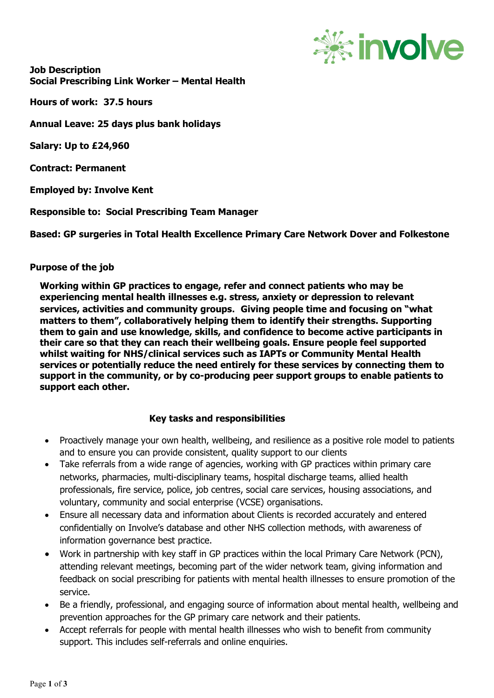

**Job Description Social Prescribing Link Worker – Mental Health**

**Hours of work: 37.5 hours** 

**Annual Leave: 25 days plus bank holidays**

**Salary: Up to £24,960**

**Contract: Permanent**

**Employed by: Involve Kent**

**Responsible to: Social Prescribing Team Manager**

**Based: GP surgeries in Total Health Excellence Primary Care Network Dover and Folkestone**

## **Purpose of the job**

**Working within GP practices to engage, refer and connect patients who may be experiencing mental health illnesses e.g. stress, anxiety or depression to relevant services, activities and community groups. Giving people time and focusing on "what matters to them", collaboratively helping them to identify their strengths. Supporting them to gain and use knowledge, skills, and confidence to become active participants in their care so that they can reach their wellbeing goals. Ensure people feel supported whilst waiting for NHS/clinical services such as IAPTs or Community Mental Health services or potentially reduce the need entirely for these services by connecting them to support in the community, or by co-producing peer support groups to enable patients to support each other.** 

## **Key tasks and responsibilities**

- Proactively manage your own health, wellbeing, and resilience as a positive role model to patients and to ensure you can provide consistent, quality support to our clients
- Take referrals from a wide range of agencies, working with GP practices within primary care networks, pharmacies, multi-disciplinary teams, hospital discharge teams, allied health professionals, fire service, police, job centres, social care services, housing associations, and voluntary, community and social enterprise (VCSE) organisations.
- Ensure all necessary data and information about Clients is recorded accurately and entered confidentially on Involve's database and other NHS collection methods, with awareness of information governance best practice.
- Work in partnership with key staff in GP practices within the local Primary Care Network (PCN), attending relevant meetings, becoming part of the wider network team, giving information and feedback on social prescribing for patients with mental health illnesses to ensure promotion of the service.
- Be a friendly, professional, and engaging source of information about mental health, wellbeing and prevention approaches for the GP primary care network and their patients.
- Accept referrals for people with mental health illnesses who wish to benefit from community support. This includes self-referrals and online enquiries.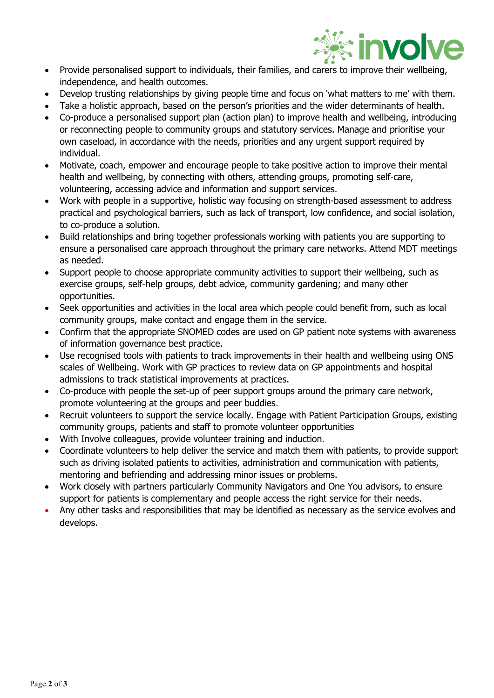

- Provide personalised support to individuals, their families, and carers to improve their wellbeing, independence, and health outcomes.
- Develop trusting relationships by giving people time and focus on 'what matters to me' with them.
- Take a holistic approach, based on the person's priorities and the wider determinants of health.
- Co-produce a personalised support plan (action plan) to improve health and wellbeing, introducing or reconnecting people to community groups and statutory services. Manage and prioritise your own caseload, in accordance with the needs, priorities and any urgent support required by individual.
- Motivate, coach, empower and encourage people to take positive action to improve their mental health and wellbeing, by connecting with others, attending groups, promoting self-care, volunteering, accessing advice and information and support services.
- Work with people in a supportive, holistic way focusing on strength-based assessment to address practical and psychological barriers, such as lack of transport, low confidence, and social isolation, to co-produce a solution.
- Build relationships and bring together professionals working with patients you are supporting to ensure a personalised care approach throughout the primary care networks. Attend MDT meetings as needed.
- Support people to choose appropriate community activities to support their wellbeing, such as exercise groups, self-help groups, debt advice, community gardening; and many other opportunities.
- Seek opportunities and activities in the local area which people could benefit from, such as local community groups, make contact and engage them in the service.
- Confirm that the appropriate SNOMED codes are used on GP patient note systems with awareness of information governance best practice.
- Use recognised tools with patients to track improvements in their health and wellbeing using ONS scales of Wellbeing. Work with GP practices to review data on GP appointments and hospital admissions to track statistical improvements at practices.
- Co-produce with people the set-up of peer support groups around the primary care network, promote volunteering at the groups and peer buddies.
- Recruit volunteers to support the service locally. Engage with Patient Participation Groups, existing community groups, patients and staff to promote volunteer opportunities
- With Involve colleagues, provide volunteer training and induction.
- Coordinate volunteers to help deliver the service and match them with patients, to provide support such as driving isolated patients to activities, administration and communication with patients, mentoring and befriending and addressing minor issues or problems.
- Work closely with partners particularly Community Navigators and One You advisors, to ensure support for patients is complementary and people access the right service for their needs.
- Any other tasks and responsibilities that may be identified as necessary as the service evolves and develops.